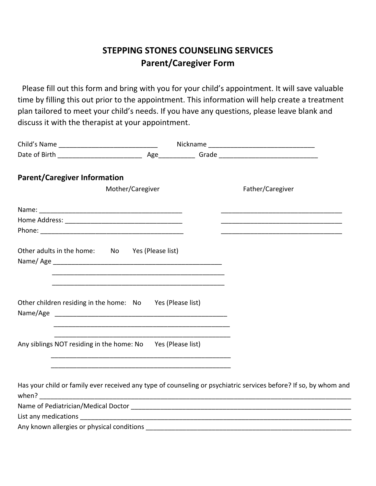## **STEPPING STONES COUNSELING SERVICES Parent/Caregiver Form**

Please fill out this form and bring with you for your child's appointment. It will save valuable time by filling this out prior to the appointment. This information will help create a treatment plan tailored to meet your child's needs. If you have any questions, please leave blank and discuss it with the therapist at your appointment.

| <b>Parent/Caregiver Information</b>                         |                                                                  |  |                                                                                                                  |
|-------------------------------------------------------------|------------------------------------------------------------------|--|------------------------------------------------------------------------------------------------------------------|
|                                                             | Mother/Caregiver                                                 |  | Father/Caregiver                                                                                                 |
|                                                             |                                                                  |  |                                                                                                                  |
|                                                             |                                                                  |  |                                                                                                                  |
|                                                             |                                                                  |  |                                                                                                                  |
| Other adults in the home: No Yes (Please list)              |                                                                  |  |                                                                                                                  |
|                                                             |                                                                  |  |                                                                                                                  |
|                                                             |                                                                  |  |                                                                                                                  |
| Other children residing in the home: No Yes (Please list)   |                                                                  |  |                                                                                                                  |
|                                                             | <u> 1980 - Jan James James Barnett, fransk politik (d. 1980)</u> |  |                                                                                                                  |
|                                                             |                                                                  |  |                                                                                                                  |
| Any siblings NOT residing in the home: No Yes (Please list) |                                                                  |  |                                                                                                                  |
|                                                             |                                                                  |  |                                                                                                                  |
|                                                             |                                                                  |  | Has your child or family ever received any type of counseling or psychiatric services before? If so, by whom and |
|                                                             |                                                                  |  |                                                                                                                  |
|                                                             |                                                                  |  |                                                                                                                  |
|                                                             |                                                                  |  |                                                                                                                  |
| Any known allergies or physical conditions                  |                                                                  |  |                                                                                                                  |